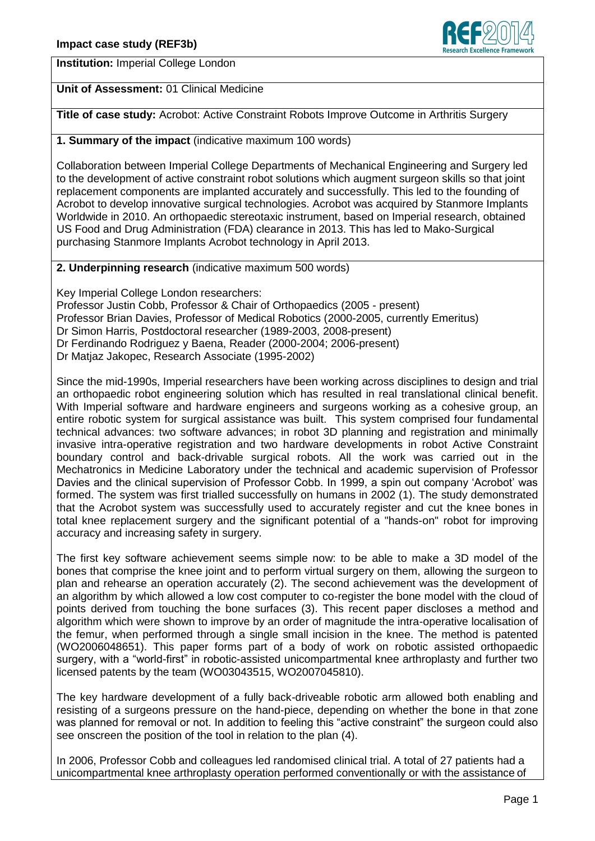

**Institution:** Imperial College London

**Unit of Assessment:** 01 Clinical Medicine

**Title of case study:** Acrobot: Active Constraint Robots Improve Outcome in Arthritis Surgery

**1. Summary of the impact** (indicative maximum 100 words)

Collaboration between Imperial College Departments of Mechanical Engineering and Surgery led to the development of active constraint robot solutions which augment surgeon skills so that joint replacement components are implanted accurately and successfully. This led to the founding of Acrobot to develop innovative surgical technologies. Acrobot was acquired by Stanmore Implants Worldwide in 2010. An orthopaedic stereotaxic instrument, based on Imperial research, obtained US Food and Drug Administration (FDA) clearance in 2013. This has led to Mako-Surgical purchasing Stanmore Implants Acrobot technology in April 2013.

**2. Underpinning research** (indicative maximum 500 words)

Key Imperial College London researchers:

Professor Justin Cobb, Professor & Chair of Orthopaedics (2005 - present) Professor Brian Davies, Professor of Medical Robotics (2000-2005, currently Emeritus) Dr Simon Harris, Postdoctoral researcher (1989-2003, 2008-present) Dr Ferdinando Rodriguez y Baena, Reader (2000-2004; 2006-present) Dr Matjaz Jakopec, Research Associate (1995-2002)

Since the mid-1990s, Imperial researchers have been working across disciplines to design and trial an orthopaedic robot engineering solution which has resulted in real translational clinical benefit. With Imperial software and hardware engineers and surgeons working as a cohesive group, an entire robotic system for surgical assistance was built. This system comprised four fundamental technical advances: two software advances; in robot 3D planning and registration and minimally invasive intra-operative registration and two hardware developments in robot Active Constraint boundary control and back-drivable surgical robots. All the work was carried out in the Mechatronics in Medicine Laboratory under the technical and academic supervision of Professor Davies and the clinical supervision of Professor Cobb. In 1999, a spin out company "Acrobot" was formed. The system was first trialled successfully on humans in 2002 (1). The study demonstrated that the Acrobot system was successfully used to accurately register and cut the knee bones in total knee replacement surgery and the significant potential of a "hands-on" robot for improving accuracy and increasing safety in surgery.

The first key software achievement seems simple now: to be able to make a 3D model of the bones that comprise the knee joint and to perform virtual surgery on them, allowing the surgeon to plan and rehearse an operation accurately (2). The second achievement was the development of an algorithm by which allowed a low cost computer to co-register the bone model with the cloud of points derived from touching the bone surfaces (3). This recent paper discloses a method and algorithm which were shown to improve by an order of magnitude the intra-operative localisation of the femur, when performed through a single small incision in the knee. The method is patented (WO2006048651). This paper forms part of a body of work on robotic assisted orthopaedic surgery, with a "world-first" in robotic-assisted unicompartmental knee arthroplasty and further two licensed patents by the team (WO03043515, WO2007045810).

The key hardware development of a fully back-driveable robotic arm allowed both enabling and resisting of a surgeons pressure on the hand-piece, depending on whether the bone in that zone was planned for removal or not. In addition to feeling this "active constraint" the surgeon could also see onscreen the position of the tool in relation to the plan (4).

In 2006, Professor Cobb and colleagues led randomised clinical trial. A total of 27 patients had a unicompartmental knee arthroplasty operation performed conventionally or with the assistance of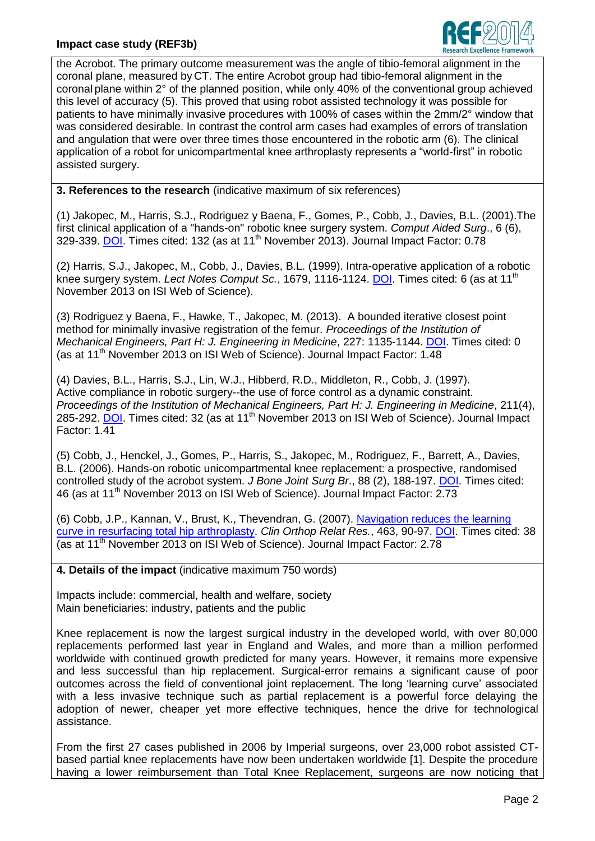## **Impact case study (REF3b)**



the Acrobot. The primary outcome measurement was the angle of tibio-femoral alignment in the coronal plane, measured by CT. The entire Acrobot group had tibio-femoral alignment in the coronal plane within 2° of the planned position, while only 40% of the conventional group achieved this level of accuracy (5). This proved that using robot assisted technology it was possible for patients to have minimally invasive procedures with 100% of cases within the 2mm/2° window that was considered desirable. In contrast the control arm cases had examples of errors of translation and angulation that were over three times those encountered in the robotic arm (6). The clinical application of a robot for unicompartmental knee arthroplasty represents a "world-first" in robotic assisted surgery.

**3. References to the research** (indicative maximum of six references)

(1) Jakopec, M., Harris, S.J., Rodriguez y Baena, F., Gomes, P., Cobb, J., Davies, B.L. (2001).The first clinical application of a "hands-on" robotic knee surgery system. *Comput Aided Surg*., 6 (6), 329-339. [DOI.](http://dx.doi.org/10.3109/10929080109146302) Times cited: 132 (as at 11<sup>th</sup> November 2013). Journal Impact Factor: 0.78

(2) Harris, S.J., Jakopec, M., Cobb, J., Davies, B.L. (1999). Intra-operative application of a robotic knee surgery system. *Lect Notes Comput Sc.*, 1679, 1116-1124. [DOI.](http://dx.doi.org/10.1007/10704282_121) Times cited: 6 (as at 11<sup>th</sup>) November 2013 on ISI Web of Science).

(3) Rodriguez y Baena, F., Hawke, T., Jakopec, M. (2013). A bounded iterative closest point method for minimally invasive registration of the femur. *Proceedings of the Institution of Mechanical Engineers, Part H: J. Engineering in Medicine*, 227: 1135-1144. [DOI.](http://dx.doi.org/10.1177/0954411913500948) Times cited: 0 (as at 11<sup>th</sup> November 2013 on ISI Web of Science). Journal Impact Factor: 1.48

(4) Davies, B.L., Harris, S.J., Lin, W.J., Hibberd, R.D., Middleton, R., Cobb, J. (1997). Active compliance in robotic surgery--the use of force control as a dynamic constraint. *Proceedings of the Institution of Mechanical Engineers, Part H: J. Engineering in Medicine*, 211(4), 285-292. [DOI.](http://dx.doi.org/10.1243/0954411971534403) Times cited: 32 (as at 11<sup>th</sup> November 2013 on ISI Web of Science). Journal Impact Factor: 1.41

(5) Cobb, J., Henckel, J., Gomes, P., Harris, S., Jakopec, M., Rodriguez, F., Barrett, A., Davies, B.L. (2006). Hands-on robotic unicompartmental knee replacement: a prospective, randomised controlled study of the acrobot system. *J Bone Joint Surg Br*., 88 (2), 188-197. [DOI.](http://dx.doi.org/10.1302/0301-620X.88B2.17220) Times cited: 46 (as at 11<sup>th</sup> November 2013 on ISI Web of Science). Journal Impact Factor: 2.73

(6) Cobb, J.P., Kannan, V., Brust, K., Thevendran, G. (2007). [Navigation reduces the learning](http://www.ncbi.nlm.nih.gov/pubmed/17603387)  [curve in resurfacing total hip arthroplasty.](http://www.ncbi.nlm.nih.gov/pubmed/17603387) *Clin Orthop Relat Res.*, 463, 90-97. [DOI.](http://dx.doi.org/10.1097/BLO.0b013e318126c0a5) Times cited: 38 (as at 11<sup>th</sup> November 2013 on ISI Web of Science). Journal Impact Factor: 2.78

**4. Details of the impact** (indicative maximum 750 words)

Impacts include: commercial, health and welfare, society Main beneficiaries: industry, patients and the public

Knee replacement is now the largest surgical industry in the developed world, with over 80,000 replacements performed last year in England and Wales, and more than a million performed worldwide with continued growth predicted for many years. However, it remains more expensive and less successful than hip replacement. Surgical-error remains a significant cause of poor outcomes across the field of conventional joint replacement. The long "learning curve" associated with a less invasive technique such as partial replacement is a powerful force delaying the adoption of newer, cheaper yet more effective techniques, hence the drive for technological assistance.

From the first 27 cases published in 2006 by Imperial surgeons, over 23,000 robot assisted CTbased partial knee replacements have now been undertaken worldwide [1]. Despite the procedure having a lower reimbursement than Total Knee Replacement, surgeons are now noticing that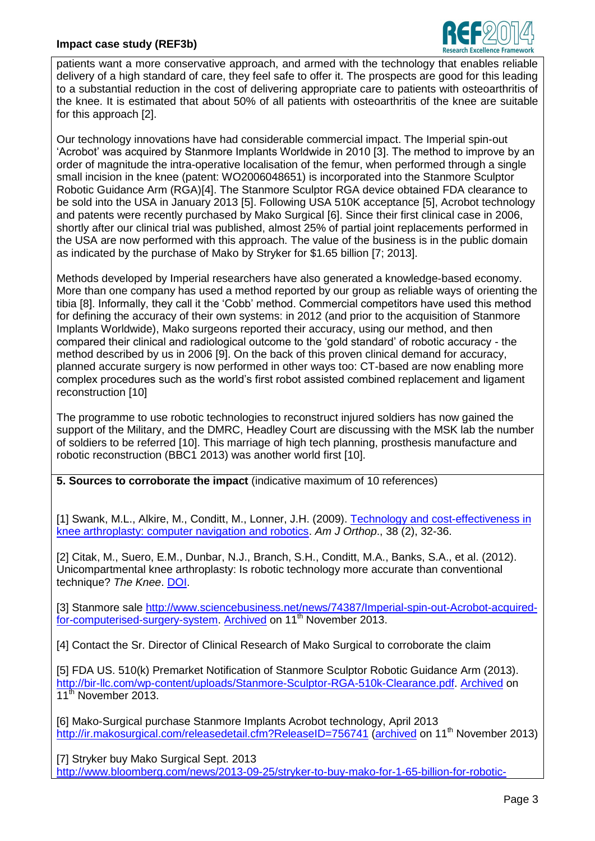

patients want a more conservative approach, and armed with the technology that enables reliable delivery of a high standard of care, they feel safe to offer it. The prospects are good for this leading to a substantial reduction in the cost of delivering appropriate care to patients with osteoarthritis of the knee. It is estimated that about 50% of all patients with osteoarthritis of the knee are suitable for this approach [2].

Our technology innovations have had considerable commercial impact. The Imperial spin-out "Acrobot" was acquired by Stanmore Implants Worldwide in 2010 [3]. The method to improve by an order of magnitude the intra-operative localisation of the femur, when performed through a single small incision in the knee (patent: WO2006048651) is incorporated into the Stanmore Sculptor Robotic Guidance Arm (RGA)[4]. The Stanmore Sculptor RGA device obtained FDA clearance to be sold into the USA in January 2013 [5]. Following USA 510K acceptance [5], Acrobot technology and patents were recently purchased by Mako Surgical [6]. Since their first clinical case in 2006, shortly after our clinical trial was published, almost 25% of partial joint replacements performed in the USA are now performed with this approach. The value of the business is in the public domain as indicated by the purchase of Mako by Stryker for \$1.65 billion [7; 2013].

Methods developed by Imperial researchers have also generated a knowledge-based economy. More than one company has used a method reported by our group as reliable ways of orienting the tibia [8]. Informally, they call it the "Cobb" method. Commercial competitors have used this method for defining the accuracy of their own systems: in 2012 (and prior to the acquisition of Stanmore Implants Worldwide), Mako surgeons reported their accuracy, using our method, and then compared their clinical and radiological outcome to the "gold standard" of robotic accuracy - the method described by us in 2006 [9]. On the back of this proven clinical demand for accuracy, planned accurate surgery is now performed in other ways too: CT-based are now enabling more complex procedures such as the world"s first robot assisted combined replacement and ligament reconstruction [10]

The programme to use robotic technologies to reconstruct injured soldiers has now gained the support of the Military, and the DMRC, Headley Court are discussing with the MSK lab the number of soldiers to be referred [10]. This marriage of high tech planning, prosthesis manufacture and robotic reconstruction (BBC1 2013) was another world first [10].

**5. Sources to corroborate the impact** (indicative maximum of 10 references)

[1] Swank, M.L., Alkire, M., Conditt, M., Lonner, J.H. (2009). [Technology and cost-effectiveness in](http://www.pediatricnews.com/fileadmin/qhi_archive/ArticlePDF/AJO/038020032s.pdf)  [knee arthroplasty: computer navigation and robotics.](http://www.pediatricnews.com/fileadmin/qhi_archive/ArticlePDF/AJO/038020032s.pdf) *Am J Orthop*., 38 (2), 32-36.

[2] Citak, M., Suero, E.M., Dunbar, N.J., Branch, S.H., Conditt, M.A., Banks, S.A., et al. (2012). Unicompartmental knee arthroplasty: Is robotic technology more accurate than conventional technique? *The Knee*. [DOI.](http://dx.doi.org/10.1016/j.knee.2012.11.001)

[3] Stanmore sale [http://www.sciencebusiness.net/news/74387/Imperial-spin-out-Acrobot-acquired](http://www.sciencebusiness.net/news/74387/Imperial-spin-out-Acrobot-acquired-for-computerised-surgery-system)[for-computerised-surgery-system.](http://www.sciencebusiness.net/news/74387/Imperial-spin-out-Acrobot-acquired-for-computerised-surgery-system) [Archived](https://www.imperial.ac.uk/ref/webarchive/s7f) on 11<sup>th</sup> November 2013.

[4] Contact the Sr. Director of Clinical Research of Mako Surgical to corroborate the claim

[5] FDA US. 510(k) Premarket Notification of Stanmore Sculptor Robotic Guidance Arm (2013). [http://bir-llc.com/wp-content/uploads/Stanmore-Sculptor-RGA-510k-Clearance.pdf.](http://bir-llc.com/wp-content/uploads/Stanmore-Sculptor-RGA-510k-Clearance.pdf) [Archived](https://workspace.imperial.ac.uk/ref/Public/UoA%2001%20-%20Clinical%20Medicine/Stanmore-Sculptor-RGA-510k-Clearance.pdf) on 11<sup>th</sup> November 2013

[6] Mako-Surgical purchase Stanmore Implants Acrobot technology, April 2013 <http://ir.makosurgical.com/releasedetail.cfm?ReleaseID=756741> [\(archived](https://www.imperial.ac.uk/ref/webarchive/t7f) on 11<sup>th</sup> November 2013)

[7] Stryker buy Mako Surgical Sept. 2013 [http://www.bloomberg.com/news/2013-09-25/stryker-to-buy-mako-for-1-65-billion-for-robotic-](http://www.bloomberg.com/news/2013-09-25/stryker-to-buy-mako-for-1-65-billion-for-robotic-surgery-1-.html)